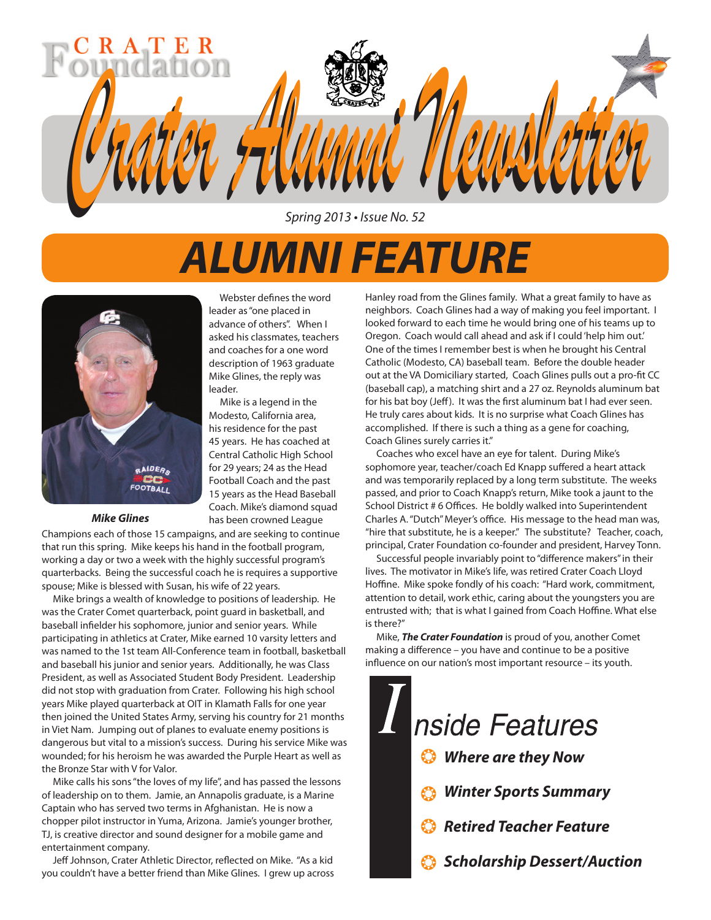

Spring 2013 • Issue No. 52

# *ALUMNI FEATURE*

Webster defines the word

Mike is a legend in the

has been crowned League



#### *Mike Glines*

Champions each of those 15 campaigns, and are seeking to continue that run this spring. Mike keeps his hand in the football program, working a day or two a week with the highly successful program's quarterbacks. Being the successful coach he is requires a supportive spouse; Mike is blessed with Susan, his wife of 22 years.

 Mike brings a wealth of knowledge to positions of leadership. He was the Crater Comet quarterback, point guard in basketball, and baseball infielder his sophomore, junior and senior years. While participating in athletics at Crater, Mike earned 10 varsity letters and was named to the 1st team All-Conference team in football, basketball and baseball his junior and senior years. Additionally, he was Class President, as well as Associated Student Body President. Leadership did not stop with graduation from Crater. Following his high school years Mike played quarterback at OIT in Klamath Falls for one year then joined the United States Army, serving his country for 21 months in Viet Nam. Jumping out of planes to evaluate enemy positions is dangerous but vital to a mission's success. During his service Mike was wounded; for his heroism he was awarded the Purple Heart as well as the Bronze Star with V for Valor.

 Mike calls his sons "the loves of my life", and has passed the lessons of leadership on to them. Jamie, an Annapolis graduate, is a Marine Captain who has served two terms in Afghanistan. He is now a chopper pilot instructor in Yuma, Arizona. Jamie's younger brother, TJ, is creative director and sound designer for a mobile game and entertainment company.

 Jeff Johnson, Crater Athletic Director, reflected on Mike. "As a kid you couldn't have a better friend than Mike Glines. I grew up across Hanley road from the Glines family. What a great family to have as neighbors. Coach Glines had a way of making you feel important. I looked forward to each time he would bring one of his teams up to Oregon. Coach would call ahead and ask if I could 'help him out.' One of the times I remember best is when he brought his Central Catholic (Modesto, CA) baseball team. Before the double header out at the VA Domiciliary started, Coach Glines pulls out a pro-fit CC (baseball cap), a matching shirt and a 27 oz. Reynolds aluminum bat for his bat boy (Jeff). It was the first aluminum bat I had ever seen. He truly cares about kids. It is no surprise what Coach Glines has accomplished. If there is such a thing as a gene for coaching, Coach Glines surely carries it."

 Coaches who excel have an eye for talent. During Mike's sophomore year, teacher/coach Ed Knapp suffered a heart attack and was temporarily replaced by a long term substitute. The weeks passed, and prior to Coach Knapp's return, Mike took a jaunt to the School District # 6 Offices. He boldly walked into Superintendent Charles A. "Dutch" Meyer's office. His message to the head man was, "hire that substitute, he is a keeper." The substitute? Teacher, coach, principal, Crater Foundation co-founder and president, Harvey Tonn.

 Successful people invariably point to "difference makers" in their lives. The motivator in Mike's life, was retired Crater Coach Lloyd Hoffine. Mike spoke fondly of his coach: "Hard work, commitment, attention to detail, work ethic, caring about the youngsters you are entrusted with; that is what I gained from Coach Hoffine. What else is there?"

 Mike, *The Crater Foundation* is proud of you, another Comet making a difference – you have and continue to be a positive influence on our nation's most important resource – its youth.

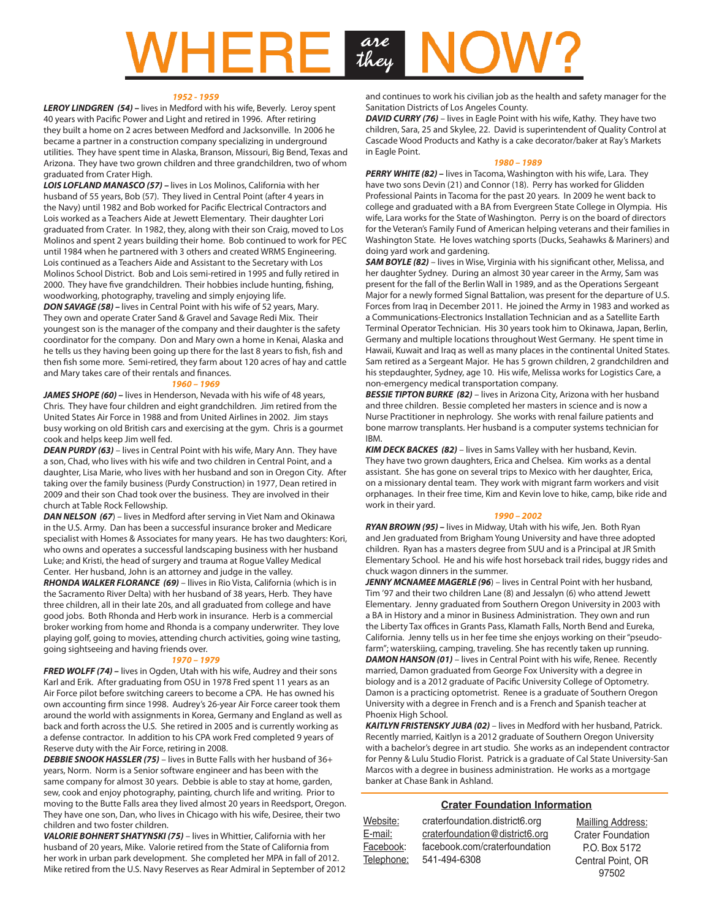# are they

#### *1952 - 1959*

*LEROY LINDGREN (54) –* lives in Medford with his wife, Beverly. Leroy spent 40 years with Pacific Power and Light and retired in 1996. After retiring they built a home on 2 acres between Medford and Jacksonville. In 2006 he became a partner in a construction company specializing in underground utilities. They have spent time in Alaska, Branson, Missouri, Big Bend, Texas and Arizona. They have two grown children and three grandchildren, two of whom graduated from Crater High.

*LOIS LOFLAND MANASCO (57) –* lives in Los Molinos, California with her husband of 55 years, Bob (57). They lived in Central Point (after 4 years in the Navy) until 1982 and Bob worked for Pacific Electrical Contractors and Lois worked as a Teachers Aide at Jewett Elementary. Their daughter Lori graduated from Crater. In 1982, they, along with their son Craig, moved to Los Molinos and spent 2 years building their home. Bob continued to work for PEC until 1984 when he partnered with 3 others and created WRMS Engineering. Lois continued as a Teachers Aide and Assistant to the Secretary with Los Molinos School District. Bob and Lois semi-retired in 1995 and fully retired in 2000. They have five grandchildren. Their hobbies include hunting, fishing, woodworking, photography, traveling and simply enjoying life.

*DON SAVAGE (58) – lives in Central Point with his wife of 52 years, Mary.* They own and operate Crater Sand & Gravel and Savage Redi Mix. Their youngest son is the manager of the company and their daughter is the safety coordinator for the company. Don and Mary own a home in Kenai, Alaska and he tells us they having been going up there for the last 8 years to fish, fish and then fish some more. Semi-retired, they farm about 120 acres of hay and cattle and Mary takes care of their rentals and finances.

#### *1960 – 1969*

JAMES SHOPE (60) – lives in Henderson, Nevada with his wife of 48 years, Chris. They have four children and eight grandchildren. Jim retired from the United States Air Force in 1988 and from United Airlines in 2002. Jim stays busy working on old British cars and exercising at the gym. Chris is a gourmet cook and helps keep Jim well fed.

*DEAN PURDY (63)* – lives in Central Point with his wife, Mary Ann. They have a son, Chad, who lives with his wife and two children in Central Point, and a daughter, Lisa Marie, who lives with her husband and son in Oregon City. After taking over the family business (Purdy Construction) in 1977, Dean retired in 2009 and their son Chad took over the business. They are involved in their church at Table Rock Fellowship.

*DAN NELSON (67*) – lives in Medford after serving in Viet Nam and Okinawa in the U.S. Army. Dan has been a successful insurance broker and Medicare specialist with Homes & Associates for many years. He has two daughters: Kori, who owns and operates a successful landscaping business with her husband Luke; and Kristi, the head of surgery and trauma at Rogue Valley Medical Center. Her husband, John is an attorney and judge in the valley.

*RHONDA WALKER FLORANCE (69)* – llives in Rio Vista, California (which is in the Sacramento River Delta) with her husband of 38 years, Herb. They have three children, all in their late 20s, and all graduated from college and have good jobs. Both Rhonda and Herb work in insurance. Herb is a commercial broker working from home and Rhonda is a company underwriter. They love playing golf, going to movies, attending church activities, going wine tasting, going sightseeing and having friends over.

#### *1970 – 1979*

*FRED WOLFF (74) –* lives in Ogden, Utah with his wife, Audrey and their sons Karl and Erik. After graduating from OSU in 1978 Fred spent 11 years as an Air Force pilot before switching careers to become a CPA. He has owned his own accounting firm since 1998. Audrey's 26-year Air Force career took them around the world with assignments in Korea, Germany and England as well as back and forth across the U.S. She retired in 2005 and is currently working as a defense contractor. In addition to his CPA work Fred completed 9 years of Reserve duty with the Air Force, retiring in 2008.

*DEBBIE SNOOK HASSLER (75)* – lives in Butte Falls with her husband of 36+ years, Norm. Norm is a Senior software engineer and has been with the same company for almost 30 years. Debbie is able to stay at home, garden, sew, cook and enjoy photography, painting, church life and writing. Prior to moving to the Butte Falls area they lived almost 20 years in Reedsport, Oregon. They have one son, Dan, who lives in Chicago with his wife, Desiree, their two children and two foster children.

*VALORIE BOHNERT SHATYNSKI (75)* – lives in Whittier, California with her husband of 20 years, Mike. Valorie retired from the State of California from her work in urban park development. She completed her MPA in fall of 2012. Mike retired from the U.S. Navy Reserves as Rear Admiral in September of 2012 and continues to work his civilian job as the health and safety manager for the Sanitation Districts of Los Angeles County.

**DAVID CURRY (76)** – lives in Eagle Point with his wife, Kathy. They have two children, Sara, 25 and Skylee, 22. David is superintendent of Quality Control at Cascade Wood Products and Kathy is a cake decorator/baker at Ray's Markets in Eagle Point.

#### *1980 – 1989*

**PERRY WHITE (82)** – lives in Tacoma, Washington with his wife, Lara. They have two sons Devin (21) and Connor (18). Perry has worked for Glidden Professional Paints in Tacoma for the past 20 years. In 2009 he went back to college and graduated with a BA from Evergreen State College in Olympia. His wife, Lara works for the State of Washington. Perry is on the board of directors for the Veteran's Family Fund of American helping veterans and their families in Washington State. He loves watching sports (Ducks, Seahawks & Mariners) and doing yard work and gardening.

**SAM BOYLE (82)** – lives in Wise, Virginia with his significant other, Melissa, and her daughter Sydney. During an almost 30 year career in the Army, Sam was present for the fall of the Berlin Wall in 1989, and as the Operations Sergeant Major for a newly formed Signal Battalion, was present for the departure of U.S. Forces from Iraq in December 2011. He joined the Army in 1983 and worked as a Communications-Electronics Installation Technician and as a Satellite Earth Terminal Operator Technician. His 30 years took him to Okinawa, Japan, Berlin, Germany and multiple locations throughout West Germany. He spent time in Hawaii, Kuwait and Iraq as well as many places in the continental United States. Sam retired as a Sergeant Major. He has 5 grown children, 2 grandchildren and his stepdaughter, Sydney, age 10. His wife, Melissa works for Logistics Care, a non-emergency medical transportation company.

**BESSIE TIPTON BURKE (82)** – lives in Arizona City, Arizona with her husband and three children. Bessie completed her masters in science and is now a Nurse Practitioner in nephrology. She works with renal failure patients and bone marrow transplants. Her husband is a computer systems technician for IBM.

*KIM DECK BACKES (82)* – lives in Sams Valley with her husband, Kevin. They have two grown daughters, Erica and Chelsea. Kim works as a dental assistant. She has gone on several trips to Mexico with her daughter, Erica, on a missionary dental team. They work with migrant farm workers and visit orphanages. In their free time, Kim and Kevin love to hike, camp, bike ride and work in their yard.

#### *1990 – 2002*

*RYAN BROWN (95) –* lives in Midway, Utah with his wife, Jen. Both Ryan and Jen graduated from Brigham Young University and have three adopted children. Ryan has a masters degree from SUU and is a Principal at JR Smith Elementary School. He and his wife host horseback trail rides, buggy rides and chuck wagon dinners in the summer.

*JENNY MCNAMEE MAGERLE (96*) – lives in Central Point with her husband, Tim '97 and their two children Lane (8) and Jessalyn (6) who attend Jewett Elementary. Jenny graduated from Southern Oregon University in 2003 with a BA in History and a minor in Business Administration. They own and run the Liberty Tax offices in Grants Pass, Klamath Falls, North Bend and Eureka, California. Jenny tells us in her fee time she enjoys working on their "pseudofarm"; waterskiing, camping, traveling. She has recently taken up running. *DAMON HANSON (01)* – lives in Central Point with his wife, Renee. Recently married, Damon graduated from George Fox University with a degree in biology and is a 2012 graduate of Pacific University College of Optometry. Damon is a practicing optometrist. Renee is a graduate of Southern Oregon University with a degree in French and is a French and Spanish teacher at Phoenix High School.

*KAITLYN FRISTENSKY JUBA (02)* – lives in Medford with her husband, Patrick. Recently married, Kaitlyn is a 2012 graduate of Southern Oregon University with a bachelor's degree in art studio. She works as an independent contractor for Penny & Lulu Studio Florist. Patrick is a graduate of Cal State University-San Marcos with a degree in business administration. He works as a mortgage banker at Chase Bank in Ashland.

#### **Crater Foundation Information**

| Website:   | craterfoundation.district6.org | <b>Mailling Address:</b> |
|------------|--------------------------------|--------------------------|
| E-mail:    | craterfoundation@district6.org | <b>Crater Foundation</b> |
| Facebook:  | facebook.com/craterfoundation  | P.O. Box 5172            |
| Telephone: | 541-494-6308                   | Central Point, OR        |
|            |                                | 97502                    |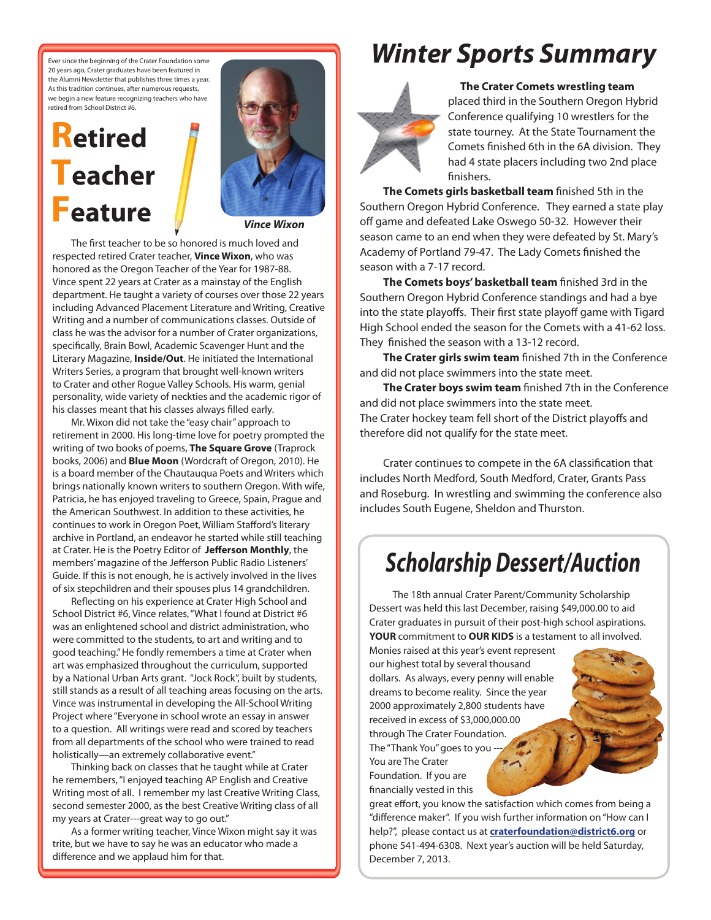Ever since the beginning of the Crater Foundation some 20 years ago, Crater graduates have been featured in the Alumni Newsletter that publishes three times a year. As this tradition continues, after numerous requests, we begin a new feature recognizing teachers who have retired from School District #6.

# **Retired Teacher Feature**



*Vince Wixon*

The first teacher to be so honored is much loved and respected retired Crater teacher, **Vince Wixon**, who was honored as the Oregon Teacher of the Year for 1987-88. Vince spent 22 years at Crater as a mainstay of the English department. He taught a variety of courses over those 22 years including Advanced Placement Literature and Writing, Creative Writing and a number of communications classes. Outside of class he was the advisor for a number of Crater organizations, specifically, Brain Bowl, Academic Scavenger Hunt and the Literary Magazine, **Inside/Out**. He initiated the International Writers Series, a program that brought well-known writers to Crater and other Rogue Valley Schools. His warm, genial personality, wide variety of neckties and the academic rigor of his classes meant that his classes always filled early.

Mr. Wixon did not take the "easy chair" approach to retirement in 2000. His long-time love for poetry prompted the writing of two books of poems, **The Square Grove** (Traprock books, 2006) and **Blue Moon** (Wordcraft of Oregon, 2010). He is a board member of the Chautauqua Poets and Writers which brings nationally known writers to southern Oregon. With wife, Patricia, he has enjoyed traveling to Greece, Spain, Prague and the American Southwest. In addition to these activities, he continues to work in Oregon Poet, William Stafford's literary archive in Portland, an endeavor he started while still teaching at Crater. He is the Poetry Editor of **Jefferson Monthly**, the members' magazine of the Jefferson Public Radio Listeners' Guide. If this is not enough, he is actively involved in the lives of six stepchildren and their spouses plus 14 grandchildren.

Reflecting on his experience at Crater High School and School District #6, Vince relates, "What I found at District #6 was an enlightened school and district administration, who were committed to the students, to art and writing and to good teaching." He fondly remembers a time at Crater when art was emphasized throughout the curriculum, supported by a National Urban Arts grant. "Jock Rock", built by students, still stands as a result of all teaching areas focusing on the arts. Vince was instrumental in developing the All-School Writing Project where "Everyone in school wrote an essay in answer to a question. All writings were read and scored by teachers from all departments of the school who were trained to read holistically—an extremely collaborative event."

Thinking back on classes that he taught while at Crater he remembers, "I enjoyed teaching AP English and Creative Writing most of all. I remember my last Creative Writing Class, second semester 2000, as the best Creative Writing class of all my years at Crater---great way to go out."

As a former writing teacher, Vince Wixon might say it was trite, but we have to say he was an educator who made a difference and we applaud him for that.

## *Winter Sports Summary*



 **The Crater Comets wrestling team** placed third in the Southern Oregon Hybrid Conference qualifying 10 wrestlers for the state tourney. At the State Tournament the Comets finished 6th in the 6A division. They had 4 state placers including two 2nd place finishers.

**The Comets girls basketball team** finished 5th in the Southern Oregon Hybrid Conference. They earned a state play off game and defeated Lake Oswego 50-32. However their season came to an end when they were defeated by St. Mary's Academy of Portland 79-47. The Lady Comets finished the season with a 7-17 record.

**The Comets boys' basketball team** finished 3rd in the Southern Oregon Hybrid Conference standings and had a bye into the state playoffs. Their first state playoff game with Tigard High School ended the season for the Comets with a 41-62 loss. They finished the season with a 13-12 record.

**The Crater girls swim team** finished 7th in the Conference and did not place swimmers into the state meet.

**The Crater boys swim team** finished 7th in the Conference and did not place swimmers into the state meet. The Crater hockey team fell short of the District playoffs and therefore did not qualify for the state meet.

Crater continues to compete in the 6A classification that includes North Medford, South Medford, Crater, Grants Pass and Roseburg. In wrestling and swimming the conference also includes South Eugene, Sheldon and Thurston.

## *Scholarship Dessert/Auction*

The 18th annual Crater Parent/Community Scholarship Dessert was held this last December, raising \$49,000.00 to aid Crater graduates in pursuit of their post-high school aspirations. **YOUR** commitment to **OUR KIDS** is a testament to all involved.

Monies raised at this year's event represent our highest total by several thousand dollars. As always, every penny will enable dreams to become reality. Since the year 2000 approximately 2,800 students have received in excess of \$3,000,000.00 through The Crater Foundation. The "Thank You" goes to you -You are The Crater Foundation. If you are financially vested in this

great effort, you know the satisfaction which comes from being a "difference maker". If you wish further information on "How can I help?", please contact us at **craterfoundation@district6.org** or phone 541-494-6308. Next year's auction will be held Saturday, December 7, 2013.